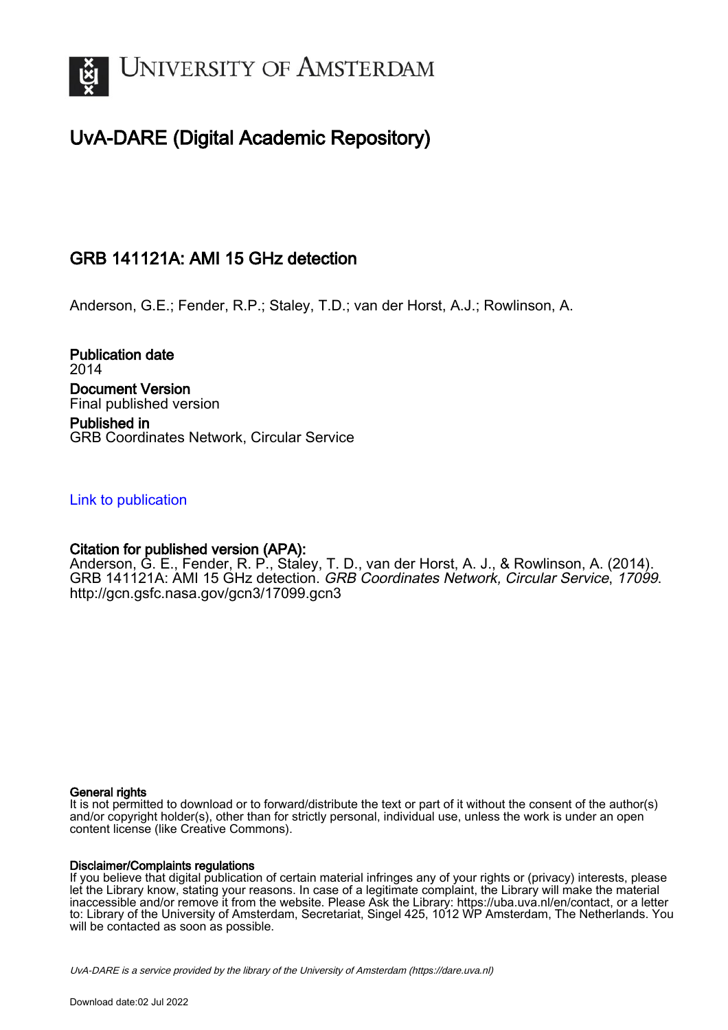

# UvA-DARE (Digital Academic Repository)

## GRB 141121A: AMI 15 GHz detection

Anderson, G.E.; Fender, R.P.; Staley, T.D.; van der Horst, A.J.; Rowlinson, A.

Publication date 2014 Document Version Final published version Published in

GRB Coordinates Network, Circular Service

### [Link to publication](https://dare.uva.nl/personal/pure/en/publications/grb-141121a-ami-15-ghz-detection(6cdc7932-5509-4a38-8ba9-f69d45a4863f).html)

## Citation for published version (APA):

Anderson, G. E., Fender, R. P., Staley, T. D., van der Horst, A. J., & Rowlinson, A. (2014). GRB 141121A: AMI 15 GHz detection. GRB Coordinates Network, Circular Service, 17099. <http://gcn.gsfc.nasa.gov/gcn3/17099.gcn3>

#### General rights

It is not permitted to download or to forward/distribute the text or part of it without the consent of the author(s) and/or copyright holder(s), other than for strictly personal, individual use, unless the work is under an open content license (like Creative Commons).

#### Disclaimer/Complaints regulations

If you believe that digital publication of certain material infringes any of your rights or (privacy) interests, please let the Library know, stating your reasons. In case of a legitimate complaint, the Library will make the material inaccessible and/or remove it from the website. Please Ask the Library: https://uba.uva.nl/en/contact, or a letter to: Library of the University of Amsterdam, Secretariat, Singel 425, 1012 WP Amsterdam, The Netherlands. You will be contacted as soon as possible.

UvA-DARE is a service provided by the library of the University of Amsterdam (http*s*://dare.uva.nl)